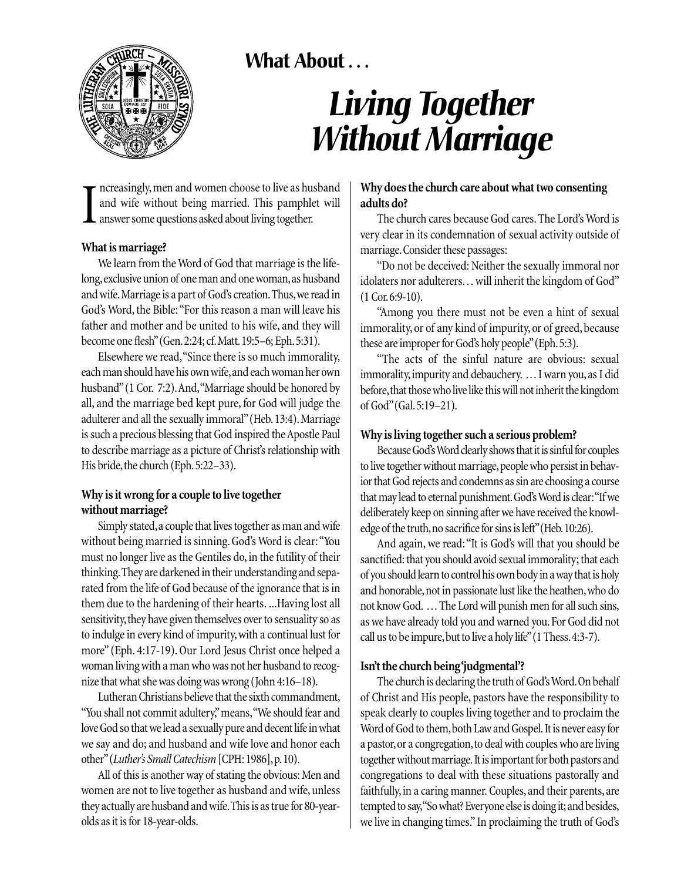# **What About . . .**



# *Living Together Without Marriage*

I ncreasingly, men and women choose to live as husband and wife without being married. This pamphlet will answer some questions asked about living together.

#### **What is marriage?**

We learn from the Word of God that marriage is the lifelong, exclusive union of one man and one woman, as husband and wife.Marriage is a part of God's creation.Thus,we read in God's Word, the Bible:"For this reason a man will leave his father and mother and be united to his wife, and they will become one flesh"(Gen.2:24; cf.Matt.19:5–6; Eph.5:31).

Elsewhere we read,"Since there is so much immorality, each man should have his own wife,and each woman her own husband" (1 Cor. 7:2). And, "Marriage should be honored by all, and the marriage bed kept pure, for God will judge the adulterer and all the sexually immoral"(Heb.13:4).Marriage is such a precious blessing that God inspired the Apostle Paul to describe marriage as a picture of Christ's relationship with His bride, the church (Eph. 5:22–33).

#### **Why is it wrong for a couple to live together without marriage?**

Simply stated,a couple that lives together as man and wife without being married is sinning. God's Word is clear:"You must no longer live as the Gentiles do, in the futility of their thinking.They are darkened in their understanding and separated from the life of God because of the ignorance that is in them due to the hardening of their hearts. ...Having lost all sensitivity, they have given themselves over to sensuality so as to indulge in every kind of impurity, with a continual lust for more" (Eph. 4:17-19). Our Lord Jesus Christ once helped a woman living with a man who was not her husband to recognize that what she was doing was wrong (John 4:16–18).

Lutheran Christians believe that the sixth commandment, "You shall not commit adultery,"means,"We should fear and love God so that we lead a sexually pure and decent life in what we say and do; and husband and wife love and honor each other"(*Luther's Small Catechism* [CPH: 1986],p.10).

All of this is another way of stating the obvious: Men and women are not to live together as husband and wife, unless they actually are husband and wife.This is as true for 80-yearolds as it is for 18-year-olds.

### **Why does the church care about what two consenting adults do?**

The church cares because God cares. The Lord's Word is very clear in its condemnation of sexual activity outside of marriage.Consider these passages:

"Do not be deceived: Neither the sexually immoral nor idolaters nor adulterers... will inherit the kingdom of God" (1 Cor.6:9-10).

"Among you there must not be even a hint of sexual immorality, or of any kind of impurity, or of greed, because these are improper for God's holy people"(Eph.5:3).

"The acts of the sinful nature are obvious: sexual immorality, impurity and debauchery. ... I warn you, as I did before, that those who live like this will not inherit the kingdom of God"(Gal.5:19–21).

### **Why is living together such a serious problem?**

Because God's Word clearly shows that it is sinful for couples to live together without marriage, people who persist in behavior that God rejects and condemns as sin are choosing a course that may lead to eternal punishment.God's Word is clear:"If we deliberately keep on sinning after we have received the knowledge of the truth, no sacrifice for sins is left" (Heb. 10:26).

And again, we read: "It is God's will that you should be sanctified: that you should avoid sexual immorality; that each of you should learn to control his own body in a way that is holy and honorable, not in passionate lust like the heathen, who do not know God. ... The Lord will punish men for all such sins, as we have already told you and warned you.For God did not call us to be impure,but to live a holy life"(1 Thess.4:3-7).

## **Isn't the church being 'judgmental'?**

The church is declaring the truth of God's Word.On behalf of Christ and His people, pastors have the responsibility to speak clearly to couples living together and to proclaim the Word of God to them,both Law and Gospel. It is never easy for a pastor, or a congregation, to deal with couples who are living together without marriage. It is important for both pastors and congregations to deal with these situations pastorally and faithfully, in a caring manner. Couples, and their parents, are tempted to say, "So what? Everyone else is doing it; and besides, we live in changing times." In proclaiming the truth of God's